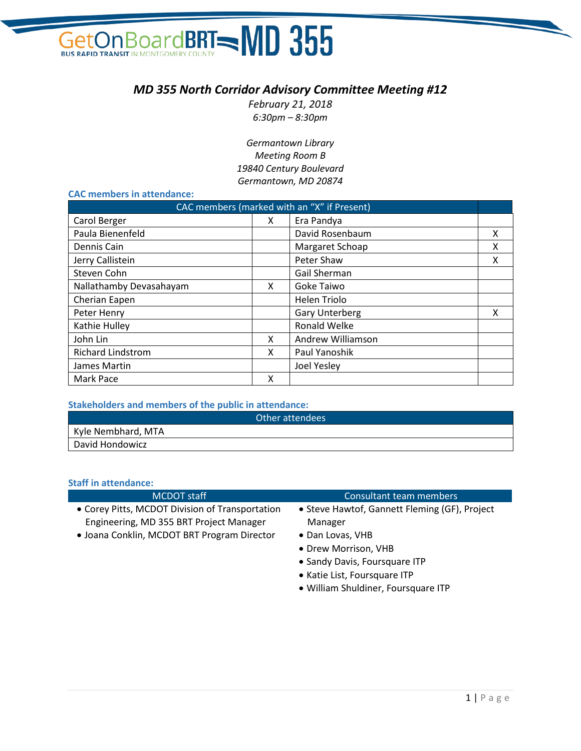## GetOn Board BRT - MD 355

### *MD 355 North Corridor Advisory Committee Meeting #12*

*February 21, 2018 6:30pm – 8:30pm*

*Germantown Library Meeting Room B 19840 Century Boulevard Germantown, MD 20874*

#### **CAC members in attendance:**

| CAC members (marked with an "X" if Present) |    |                       |   |
|---------------------------------------------|----|-----------------------|---|
| Carol Berger                                | X. | Era Pandya            |   |
| Paula Bienenfeld                            |    | David Rosenbaum       | x |
| Dennis Cain                                 |    | Margaret Schoap       | x |
| Jerry Callistein                            |    | Peter Shaw            | X |
| Steven Cohn                                 |    | Gail Sherman          |   |
| Nallathamby Devasahayam                     | X  | Goke Taiwo            |   |
| Cherian Eapen                               |    | Helen Triolo          |   |
| Peter Henry                                 |    | <b>Gary Unterberg</b> | x |
| Kathie Hulley                               |    | Ronald Welke          |   |
| John Lin                                    | x  | Andrew Williamson     |   |
| <b>Richard Lindstrom</b>                    | x  | Paul Yanoshik         |   |
| James Martin                                |    | Joel Yesley           |   |
| Mark Pace                                   | χ  |                       |   |

#### **Stakeholders and members of the public in attendance:**

| Other attendees    |
|--------------------|
| Kyle Nembhard, MTA |
| David Hondowicz    |

#### **Staff in attendance:**

| <b>MCDOT</b> staff                              | <b>Consultant team members</b>                |
|-------------------------------------------------|-----------------------------------------------|
| • Corey Pitts, MCDOT Division of Transportation | • Steve Hawtof, Gannett Fleming (GF), Project |
| Engineering, MD 355 BRT Project Manager         | Manager                                       |
| · Joana Conklin, MCDOT BRT Program Director     | • Dan Lovas, VHB                              |
|                                                 | • Drew Morrison, VHB                          |
|                                                 | • Sandy Davis, Foursquare ITP                 |
|                                                 | • Katie List, Foursquare ITP                  |
|                                                 | · William Shuldiner, Foursquare ITP           |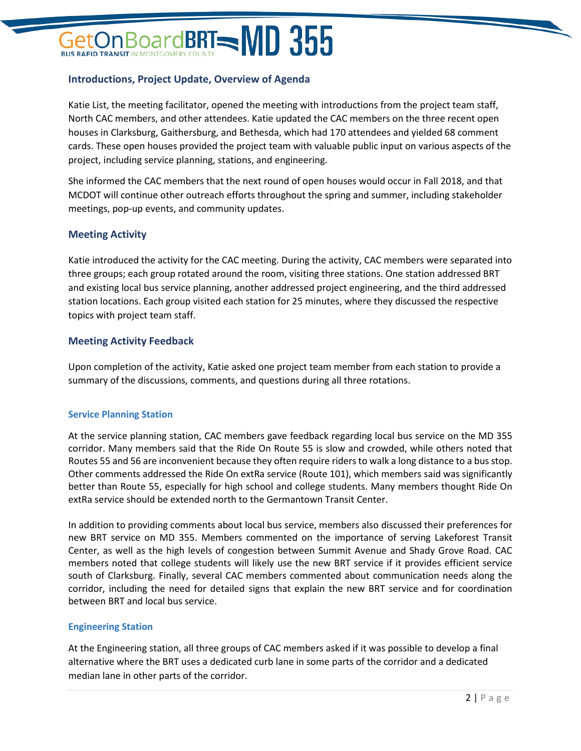### BoardBRT $=$ MD 355

#### **Introductions, Project Update, Overview of Agenda**

Katie List, the meeting facilitator, opened the meeting with introductions from the project team staff, North CAC members, and other attendees. Katie updated the CAC members on the three recent open houses in Clarksburg, Gaithersburg, and Bethesda, which had 170 attendees and yielded 68 comment cards. These open houses provided the project team with valuable public input on various aspects of the project, including service planning, stations, and engineering.

She informed the CAC members that the next round of open houses would occur in Fall 2018, and that MCDOT will continue other outreach efforts throughout the spring and summer, including stakeholder meetings, pop-up events, and community updates.

#### **Meeting Activity**

Katie introduced the activity for the CAC meeting. During the activity, CAC members were separated into three groups; each group rotated around the room, visiting three stations. One station addressed BRT and existing local bus service planning, another addressed project engineering, and the third addressed station locations. Each group visited each station for 25 minutes, where they discussed the respective topics with project team staff.

#### **Meeting Activity Feedback**

Upon completion of the activity, Katie asked one project team member from each station to provide a summary of the discussions, comments, and questions during all three rotations.

#### **Service Planning Station**

At the service planning station, CAC members gave feedback regarding local bus service on the MD 355 corridor. Many members said that the Ride On Route 55 is slow and crowded, while others noted that Routes 55 and 56 are inconvenient because they often require riders to walk a long distance to a bus stop. Other comments addressed the Ride On extRa service (Route 101), which members said was significantly better than Route 55, especially for high school and college students. Many members thought Ride On extRa service should be extended north to the Germantown Transit Center.

In addition to providing comments about local bus service, members also discussed their preferences for new BRT service on MD 355. Members commented on the importance of serving Lakeforest Transit Center, as well as the high levels of congestion between Summit Avenue and Shady Grove Road. CAC members noted that college students will likely use the new BRT service if it provides efficient service south of Clarksburg. Finally, several CAC members commented about communication needs along the corridor, including the need for detailed signs that explain the new BRT service and for coordination between BRT and local bus service.

#### **Engineering Station**

At the Engineering station, all three groups of CAC members asked if it was possible to develop a final alternative where the BRT uses a dedicated curb lane in some parts of the corridor and a dedicated median lane in other parts of the corridor.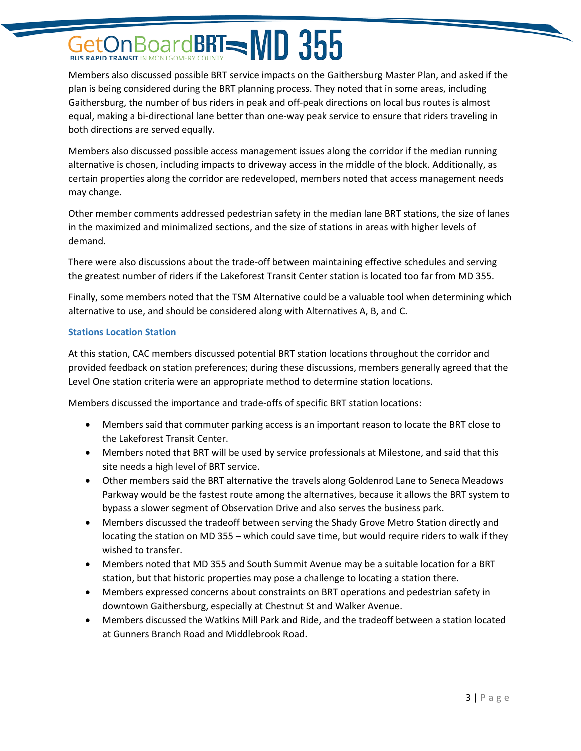### BoardBRT=MD 355

Members also discussed possible BRT service impacts on the Gaithersburg Master Plan, and asked if the plan is being considered during the BRT planning process. They noted that in some areas, including Gaithersburg, the number of bus riders in peak and off-peak directions on local bus routes is almost equal, making a bi-directional lane better than one-way peak service to ensure that riders traveling in both directions are served equally.

Members also discussed possible access management issues along the corridor if the median running alternative is chosen, including impacts to driveway access in the middle of the block. Additionally, as certain properties along the corridor are redeveloped, members noted that access management needs may change.

Other member comments addressed pedestrian safety in the median lane BRT stations, the size of lanes in the maximized and minimalized sections, and the size of stations in areas with higher levels of demand.

There were also discussions about the trade-off between maintaining effective schedules and serving the greatest number of riders if the Lakeforest Transit Center station is located too far from MD 355.

Finally, some members noted that the TSM Alternative could be a valuable tool when determining which alternative to use, and should be considered along with Alternatives A, B, and C.

#### **Stations Location Station**

At this station, CAC members discussed potential BRT station locations throughout the corridor and provided feedback on station preferences; during these discussions, members generally agreed that the Level One station criteria were an appropriate method to determine station locations.

Members discussed the importance and trade-offs of specific BRT station locations:

- Members said that commuter parking access is an important reason to locate the BRT close to the Lakeforest Transit Center.
- Members noted that BRT will be used by service professionals at Milestone, and said that this site needs a high level of BRT service.
- Other members said the BRT alternative the travels along Goldenrod Lane to Seneca Meadows Parkway would be the fastest route among the alternatives, because it allows the BRT system to bypass a slower segment of Observation Drive and also serves the business park.
- Members discussed the tradeoff between serving the Shady Grove Metro Station directly and locating the station on MD 355 – which could save time, but would require riders to walk if they wished to transfer.
- Members noted that MD 355 and South Summit Avenue may be a suitable location for a BRT station, but that historic properties may pose a challenge to locating a station there.
- Members expressed concerns about constraints on BRT operations and pedestrian safety in downtown Gaithersburg, especially at Chestnut St and Walker Avenue.
- Members discussed the Watkins Mill Park and Ride, and the tradeoff between a station located at Gunners Branch Road and Middlebrook Road.